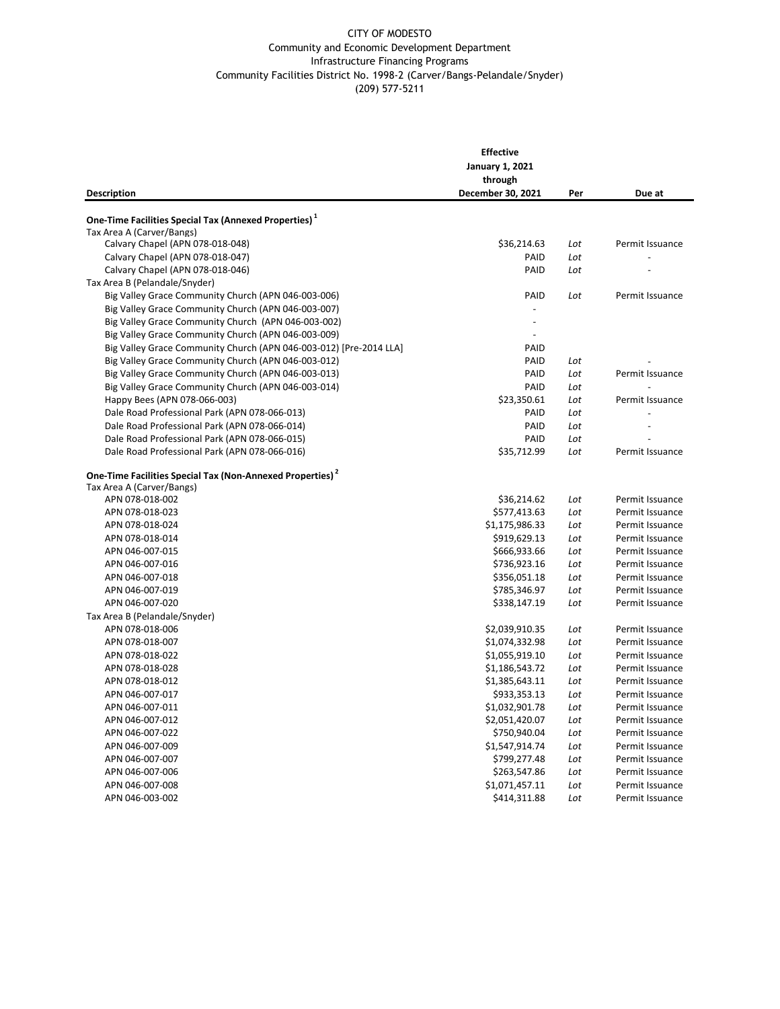## CITY OF MODESTO Community and Economic Development Department Infrastructure Financing Programs Community Facilities District No. 1998-2 (Carver/Bangs-Pelandale/Snyder) (209) 577-5211

|                                                                                                            | <b>Effective</b>       |     |                 |
|------------------------------------------------------------------------------------------------------------|------------------------|-----|-----------------|
|                                                                                                            | <b>January 1, 2021</b> |     |                 |
|                                                                                                            | through                |     |                 |
| <b>Description</b>                                                                                         | December 30, 2021      | Per | Due at          |
|                                                                                                            |                        |     |                 |
| One-Time Facilities Special Tax (Annexed Properties) <sup>1</sup><br>Tax Area A (Carver/Bangs)             |                        |     |                 |
| Calvary Chapel (APN 078-018-048)                                                                           | \$36,214.63            | Lot | Permit Issuance |
| Calvary Chapel (APN 078-018-047)                                                                           | PAID                   | Lot |                 |
| Calvary Chapel (APN 078-018-046)                                                                           | PAID                   | Lot |                 |
| Tax Area B (Pelandale/Snyder)                                                                              |                        |     |                 |
| Big Valley Grace Community Church (APN 046-003-006)                                                        | PAID                   | Lot | Permit Issuance |
| Big Valley Grace Community Church (APN 046-003-007)                                                        | $\overline{a}$         |     |                 |
|                                                                                                            | $\overline{a}$         |     |                 |
| Big Valley Grace Community Church (APN 046-003-002)<br>Big Valley Grace Community Church (APN 046-003-009) |                        |     |                 |
|                                                                                                            | PAID                   |     |                 |
| Big Valley Grace Community Church (APN 046-003-012) [Pre-2014 LLA]                                         |                        |     |                 |
| Big Valley Grace Community Church (APN 046-003-012)                                                        | PAID                   | Lot |                 |
| Big Valley Grace Community Church (APN 046-003-013)                                                        | PAID                   | Lot | Permit Issuance |
| Big Valley Grace Community Church (APN 046-003-014)                                                        | PAID                   | Lot |                 |
| Happy Bees (APN 078-066-003)                                                                               | \$23,350.61            | Lot | Permit Issuance |
| Dale Road Professional Park (APN 078-066-013)                                                              | PAID                   | Lot |                 |
| Dale Road Professional Park (APN 078-066-014)                                                              | PAID                   | Lot |                 |
| Dale Road Professional Park (APN 078-066-015)                                                              | PAID                   | Lot |                 |
| Dale Road Professional Park (APN 078-066-016)                                                              | \$35,712.99            | Lot | Permit Issuance |
| One-Time Facilities Special Tax (Non-Annexed Properties) <sup>2</sup>                                      |                        |     |                 |
| Tax Area A (Carver/Bangs)                                                                                  |                        |     |                 |
| APN 078-018-002                                                                                            | \$36,214.62            | Lot | Permit Issuance |
| APN 078-018-023                                                                                            | \$577,413.63           | Lot | Permit Issuance |
| APN 078-018-024                                                                                            | \$1,175,986.33         | Lot | Permit Issuance |
| APN 078-018-014                                                                                            | \$919,629.13           | Lot | Permit Issuance |
| APN 046-007-015                                                                                            | \$666,933.66           | Lot | Permit Issuance |
| APN 046-007-016                                                                                            | \$736,923.16           | Lot | Permit Issuance |
| APN 046-007-018                                                                                            | \$356,051.18           | Lot | Permit Issuance |
| APN 046-007-019                                                                                            | \$785,346.97           | Lot | Permit Issuance |
| APN 046-007-020                                                                                            | \$338,147.19           | Lot | Permit Issuance |
| Tax Area B (Pelandale/Snyder)                                                                              |                        |     |                 |
| APN 078-018-006                                                                                            | \$2,039,910.35         | Lot | Permit Issuance |
| APN 078-018-007                                                                                            | \$1,074,332.98         | Lot | Permit Issuance |
| APN 078-018-022                                                                                            | \$1,055,919.10         | Lot | Permit Issuance |
| APN 078-018-028                                                                                            | \$1,186,543.72         | Lot | Permit Issuance |
| APN 078-018-012                                                                                            | \$1,385,643.11         | Lot | Permit Issuance |
| APN 046-007-017                                                                                            | \$933,353.13           | Lot | Permit Issuance |
| APN 046-007-011                                                                                            | \$1,032,901.78         | Lot | Permit Issuance |
| APN 046-007-012                                                                                            | \$2,051,420.07         | Lot | Permit Issuance |
| APN 046-007-022                                                                                            | \$750,940.04           | Lot | Permit Issuance |
| APN 046-007-009                                                                                            | \$1,547,914.74         | Lot | Permit Issuance |
| APN 046-007-007                                                                                            | \$799,277.48           | Lot | Permit Issuance |
| APN 046-007-006                                                                                            | \$263,547.86           | Lot | Permit Issuance |
| APN 046-007-008                                                                                            | \$1,071,457.11         | Lot | Permit Issuance |
| APN 046-003-002                                                                                            | \$414,311.88           | Lot | Permit Issuance |